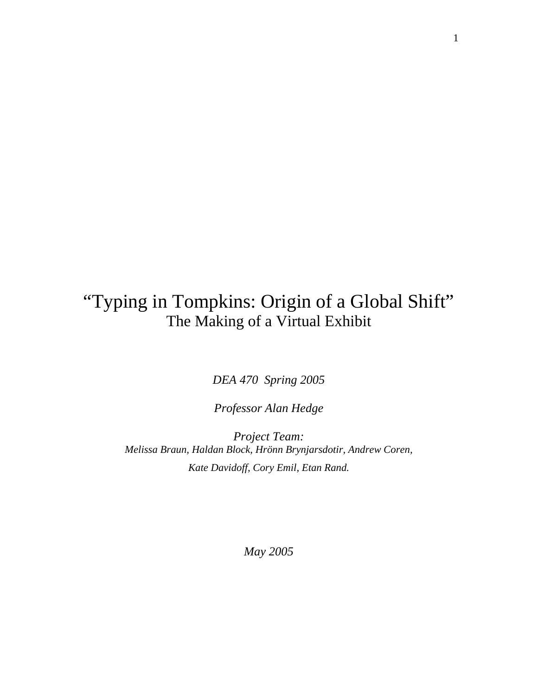# "Typing in Tompkins: Origin of a Global Shift" The Making of a Virtual Exhibit

*DEA 470 Spring 2005* 

*Professor Alan Hedge* 

*Project Team: Melissa Braun, Haldan Block, Hrönn Brynjarsdotir, Andrew Coren, Kate Davidoff, Cory Emil, Etan Rand.* 

*May 2005*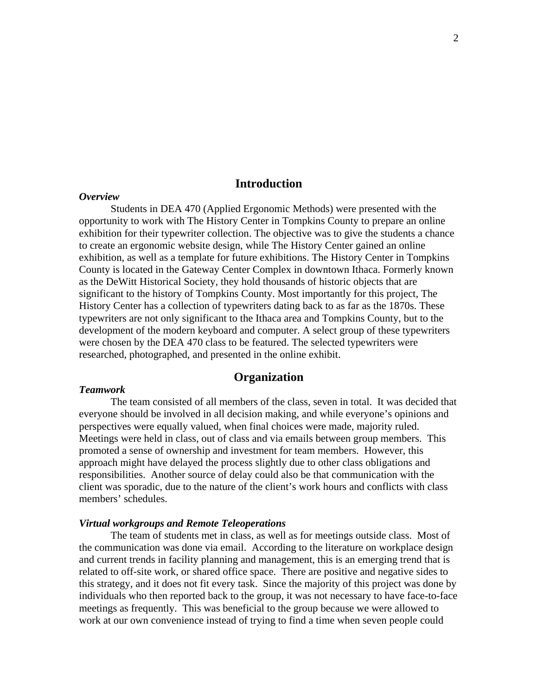## **Introduction**

#### *Overview*

Students in DEA 470 (Applied Ergonomic Methods) were presented with the opportunity to work with The History Center in Tompkins County to prepare an online exhibition for their typewriter collection. The objective was to give the students a chance to create an ergonomic website design, while The History Center gained an online exhibition, as well as a template for future exhibitions. The History Center in Tompkins County is located in the Gateway Center Complex in downtown Ithaca. Formerly known as the DeWitt Historical Society, they hold thousands of historic objects that are significant to the history of Tompkins County. Most importantly for this project, The History Center has a collection of typewriters dating back to as far as the 1870s. These typewriters are not only significant to the Ithaca area and Tompkins County, but to the development of the modern keyboard and computer. A select group of these typewriters were chosen by the DEA 470 class to be featured. The selected typewriters were researched, photographed, and presented in the online exhibit.

# **Organization**

#### *Teamwork*

The team consisted of all members of the class, seven in total. It was decided that everyone should be involved in all decision making, and while everyone's opinions and perspectives were equally valued, when final choices were made, majority ruled. Meetings were held in class, out of class and via emails between group members. This promoted a sense of ownership and investment for team members. However, this approach might have delayed the process slightly due to other class obligations and responsibilities. Another source of delay could also be that communication with the client was sporadic, due to the nature of the client's work hours and conflicts with class members' schedules.

## *Virtual workgroups and Remote Teleoperations*

The team of students met in class, as well as for meetings outside class. Most of the communication was done via email. According to the literature on workplace design and current trends in facility planning and management, this is an emerging trend that is related to off-site work, or shared office space. There are positive and negative sides to this strategy, and it does not fit every task. Since the majority of this project was done by individuals who then reported back to the group, it was not necessary to have face-to-face meetings as frequently. This was beneficial to the group because we were allowed to work at our own convenience instead of trying to find a time when seven people could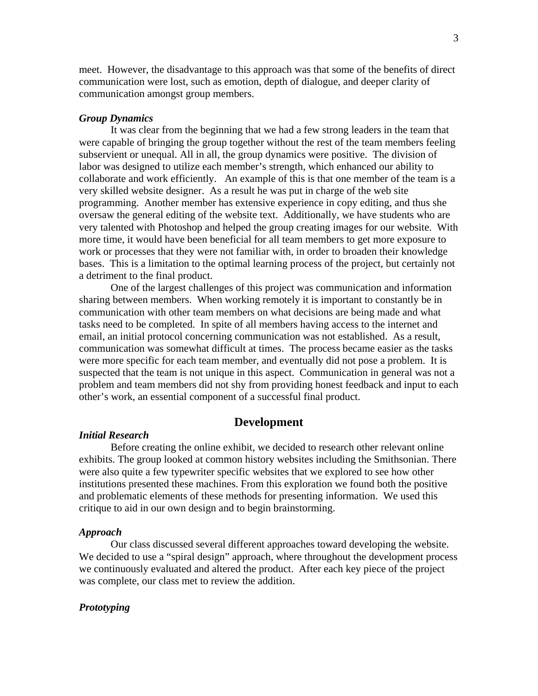meet. However, the disadvantage to this approach was that some of the benefits of direct communication were lost, such as emotion, depth of dialogue, and deeper clarity of communication amongst group members.

#### *Group Dynamics*

It was clear from the beginning that we had a few strong leaders in the team that were capable of bringing the group together without the rest of the team members feeling subservient or unequal. All in all, the group dynamics were positive. The division of labor was designed to utilize each member's strength, which enhanced our ability to collaborate and work efficiently. An example of this is that one member of the team is a very skilled website designer. As a result he was put in charge of the web site programming. Another member has extensive experience in copy editing, and thus she oversaw the general editing of the website text. Additionally, we have students who are very talented with Photoshop and helped the group creating images for our website. With more time, it would have been beneficial for all team members to get more exposure to work or processes that they were not familiar with, in order to broaden their knowledge bases. This is a limitation to the optimal learning process of the project, but certainly not a detriment to the final product.

One of the largest challenges of this project was communication and information sharing between members. When working remotely it is important to constantly be in communication with other team members on what decisions are being made and what tasks need to be completed. In spite of all members having access to the internet and email, an initial protocol concerning communication was not established. As a result, communication was somewhat difficult at times. The process became easier as the tasks were more specific for each team member, and eventually did not pose a problem. It is suspected that the team is not unique in this aspect. Communication in general was not a problem and team members did not shy from providing honest feedback and input to each other's work, an essential component of a successful final product.

# **Development**

## *Initial Research*

Before creating the online exhibit, we decided to research other relevant online exhibits. The group looked at common history websites including the Smithsonian. There were also quite a few typewriter specific websites that we explored to see how other institutions presented these machines. From this exploration we found both the positive and problematic elements of these methods for presenting information. We used this critique to aid in our own design and to begin brainstorming.

## *Approach*

Our class discussed several different approaches toward developing the website. We decided to use a "spiral design" approach, where throughout the development process we continuously evaluated and altered the product. After each key piece of the project was complete, our class met to review the addition.

## *Prototyping*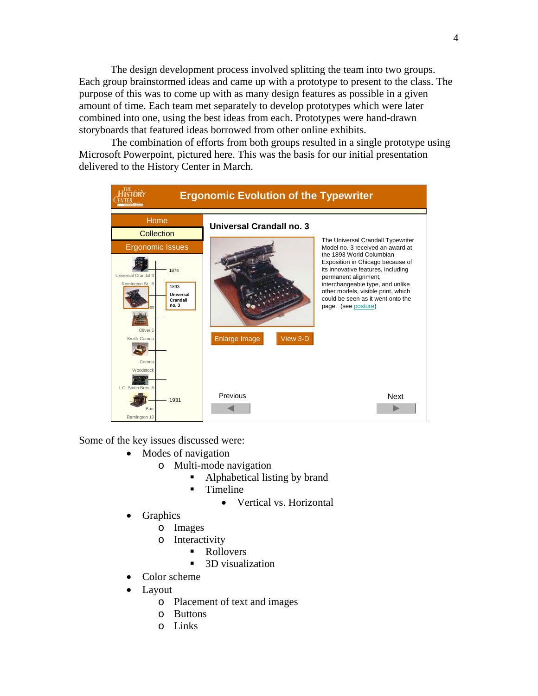The design development process involved splitting the team into two groups. Each group brainstormed ideas and came up with a prototype to present to the class. The purpose of this was to come up with as many design features as possible in a given amount of time. Each team met separately to develop prototypes which were later combined into one, using the best ideas from each. Prototypes were hand-drawn storyboards that featured ideas borrowed from other online exhibits.

 The combination of efforts from both groups resulted in a single prototype using Microsoft Powerpoint, pictured here. This was the basis for our initial presentation delivered to the History Center in March.



Some of the key issues discussed were:

- Modes of navigation
	- o Multi-mode navigation
		- Alphabetical listing by brand
		- **Timeline** 
			- Vertical vs. Horizontal
- **Graphics** 
	- o Images
	- o Interactivity
		- Rollovers
			- 3D visualization
- Color scheme
- Layout
	- o Placement of text and images
	- o Buttons
	- o Links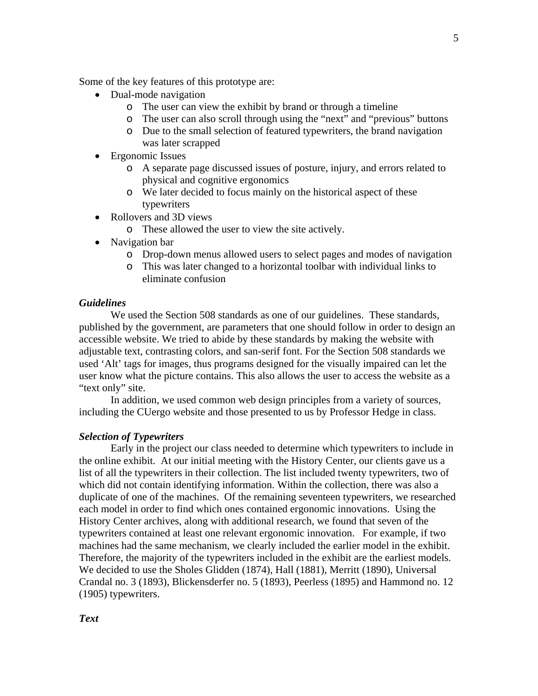Some of the key features of this prototype are:

- Dual-mode navigation
	- o The user can view the exhibit by brand or through a timeline
	- o The user can also scroll through using the "next" and "previous" buttons
	- o Due to the small selection of featured typewriters, the brand navigation was later scrapped
- Ergonomic Issues
	- o A separate page discussed issues of posture, injury, and errors related to physical and cognitive ergonomics
	- o We later decided to focus mainly on the historical aspect of these typewriters
- Rollovers and 3D views
	- o These allowed the user to view the site actively.
- Navigation bar
	- o Drop-down menus allowed users to select pages and modes of navigation
	- o This was later changed to a horizontal toolbar with individual links to eliminate confusion

## *Guidelines*

We used the Section 508 standards as one of our guidelines. These standards, published by the government, are parameters that one should follow in order to design an accessible website. We tried to abide by these standards by making the website with adjustable text, contrasting colors, and san-serif font. For the Section 508 standards we used 'Alt' tags for images, thus programs designed for the visually impaired can let the user know what the picture contains. This also allows the user to access the website as a "text only" site.

In addition, we used common web design principles from a variety of sources, including the CUergo website and those presented to us by Professor Hedge in class.

## *Selection of Typewriters*

Early in the project our class needed to determine which typewriters to include in the online exhibit. At our initial meeting with the History Center, our clients gave us a list of all the typewriters in their collection. The list included twenty typewriters, two of which did not contain identifying information. Within the collection, there was also a duplicate of one of the machines. Of the remaining seventeen typewriters, we researched each model in order to find which ones contained ergonomic innovations. Using the History Center archives, along with additional research, we found that seven of the typewriters contained at least one relevant ergonomic innovation. For example, if two machines had the same mechanism, we clearly included the earlier model in the exhibit. Therefore, the majority of the typewriters included in the exhibit are the earliest models. We decided to use the Sholes Glidden (1874), Hall (1881), Merritt (1890), Universal Crandal no. 3 (1893), Blickensderfer no. 5 (1893), Peerless (1895) and Hammond no. 12 (1905) typewriters.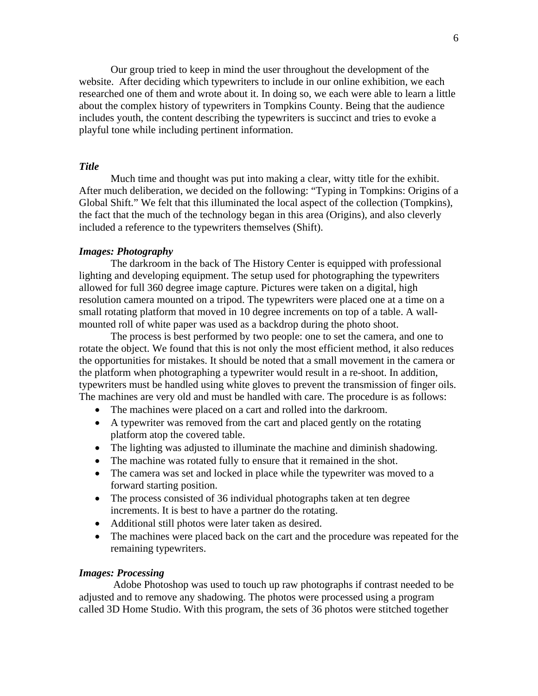Our group tried to keep in mind the user throughout the development of the website. After deciding which typewriters to include in our online exhibition, we each researched one of them and wrote about it. In doing so, we each were able to learn a little about the complex history of typewriters in Tompkins County. Being that the audience includes youth, the content describing the typewriters is succinct and tries to evoke a playful tone while including pertinent information.

# *Title*

Much time and thought was put into making a clear, witty title for the exhibit. After much deliberation, we decided on the following: "Typing in Tompkins: Origins of a Global Shift." We felt that this illuminated the local aspect of the collection (Tompkins), the fact that the much of the technology began in this area (Origins), and also cleverly included a reference to the typewriters themselves (Shift).

## *Images: Photography*

The darkroom in the back of The History Center is equipped with professional lighting and developing equipment. The setup used for photographing the typewriters allowed for full 360 degree image capture. Pictures were taken on a digital, high resolution camera mounted on a tripod. The typewriters were placed one at a time on a small rotating platform that moved in 10 degree increments on top of a table. A wallmounted roll of white paper was used as a backdrop during the photo shoot.

 The process is best performed by two people: one to set the camera, and one to rotate the object. We found that this is not only the most efficient method, it also reduces the opportunities for mistakes. It should be noted that a small movement in the camera or the platform when photographing a typewriter would result in a re-shoot. In addition, typewriters must be handled using white gloves to prevent the transmission of finger oils. The machines are very old and must be handled with care. The procedure is as follows:

- The machines were placed on a cart and rolled into the darkroom.
- A typewriter was removed from the cart and placed gently on the rotating platform atop the covered table.
- The lighting was adjusted to illuminate the machine and diminish shadowing.
- The machine was rotated fully to ensure that it remained in the shot.
- The camera was set and locked in place while the typewriter was moved to a forward starting position.
- The process consisted of 36 individual photographs taken at ten degree increments. It is best to have a partner do the rotating.
- Additional still photos were later taken as desired.
- The machines were placed back on the cart and the procedure was repeated for the remaining typewriters.

#### *Images: Processing*

 Adobe Photoshop was used to touch up raw photographs if contrast needed to be adjusted and to remove any shadowing. The photos were processed using a program called 3D Home Studio. With this program, the sets of 36 photos were stitched together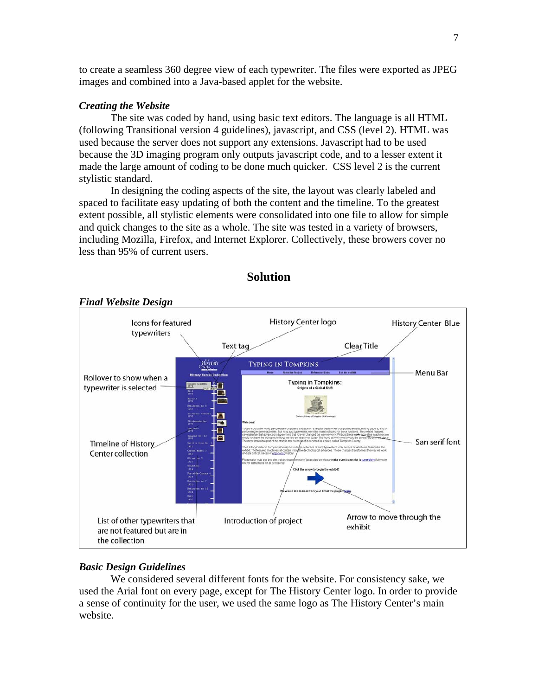to create a seamless 360 degree view of each typewriter. The files were exported as JPEG images and combined into a Java-based applet for the website.

## *Creating the Website*

The site was coded by hand, using basic text editors. The language is all HTML (following Transitional version 4 guidelines), javascript, and CSS (level 2). HTML was used because the server does not support any extensions. Javascript had to be used because the 3D imaging program only outputs javascript code, and to a lesser extent it made the large amount of coding to be done much quicker. CSS level 2 is the current stylistic standard.

In designing the coding aspects of the site, the layout was clearly labeled and spaced to facilitate easy updating of both the content and the timeline. To the greatest extent possible, all stylistic elements were consolidated into one file to allow for simple and quick changes to the site as a whole. The site was tested in a variety of browsers, including Mozilla, Firefox, and Internet Explorer. Collectively, these browers cover no less than 95% of current users.



**Solution** 

## *Basic Design Guidelines*

We considered several different fonts for the website. For consistency sake, we used the Arial font on every page, except for The History Center logo. In order to provide a sense of continuity for the user, we used the same logo as The History Center's main website.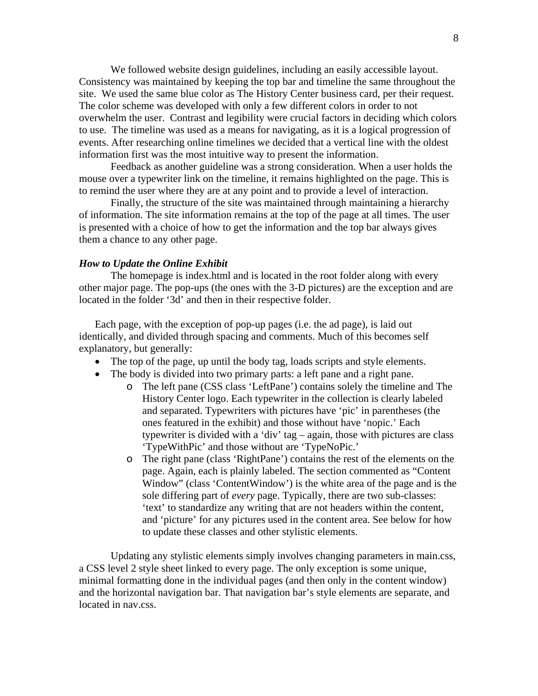We followed website design guidelines, including an easily accessible layout. Consistency was maintained by keeping the top bar and timeline the same throughout the site. We used the same blue color as The History Center business card, per their request. The color scheme was developed with only a few different colors in order to not overwhelm the user. Contrast and legibility were crucial factors in deciding which colors to use. The timeline was used as a means for navigating, as it is a logical progression of events. After researching online timelines we decided that a vertical line with the oldest information first was the most intuitive way to present the information.

Feedback as another guideline was a strong consideration. When a user holds the mouse over a typewriter link on the timeline, it remains highlighted on the page. This is to remind the user where they are at any point and to provide a level of interaction.

 Finally, the structure of the site was maintained through maintaining a hierarchy of information. The site information remains at the top of the page at all times. The user is presented with a choice of how to get the information and the top bar always gives them a chance to any other page.

#### *How to Update the Online Exhibit*

The homepage is index.html and is located in the root folder along with every other major page. The pop-ups (the ones with the 3-D pictures) are the exception and are located in the folder '3d' and then in their respective folder.

Each page, with the exception of pop-up pages (i.e. the ad page), is laid out identically, and divided through spacing and comments. Much of this becomes self explanatory, but generally:

- The top of the page, up until the body tag, loads scripts and style elements.
- The body is divided into two primary parts: a left pane and a right pane.
	- o The left pane (CSS class 'LeftPane') contains solely the timeline and The History Center logo. Each typewriter in the collection is clearly labeled and separated. Typewriters with pictures have 'pic' in parentheses (the ones featured in the exhibit) and those without have 'nopic.' Each typewriter is divided with a 'div' tag – again, those with pictures are class 'TypeWithPic' and those without are 'TypeNoPic.'
	- o The right pane (class 'RightPane') contains the rest of the elements on the page. Again, each is plainly labeled. The section commented as "Content Window" (class 'ContentWindow') is the white area of the page and is the sole differing part of *every* page. Typically, there are two sub-classes: 'text' to standardize any writing that are not headers within the content, and 'picture' for any pictures used in the content area. See below for how to update these classes and other stylistic elements.

Updating any stylistic elements simply involves changing parameters in main.css, a CSS level 2 style sheet linked to every page. The only exception is some unique, minimal formatting done in the individual pages (and then only in the content window) and the horizontal navigation bar. That navigation bar's style elements are separate, and located in nav.css.